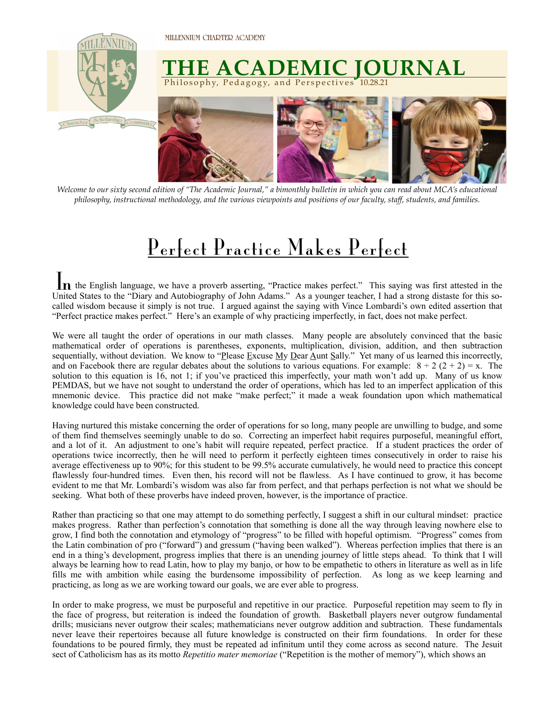

*Welcome to our sixty second edition of "The Academic Journal," a bimonthly bulletin in which you can read about MCA's educational philosophy, instructional methodology, and the various viewpoints and positions of our faculty, staff, students, and families.* 

## Perfect Practice Makes Perfect

 $\prod_{n=1}^{\infty}$  the English language, we have a proverb asserting, "Practice makes perfect." This saying was first attested in the United States to the "Diary and Autobiography of John Adams." As a younger teacher, I had a strong distaste for this socalled wisdom because it simply is not true. I argued against the saying with Vince Lombardi's own edited assertion that "Perfect practice makes perfect." Here's an example of why practicing imperfectly, in fact, does not make perfect.

We were all taught the order of operations in our math classes. Many people are absolutely convinced that the basic mathematical order of operations is parentheses, exponents, multiplication, division, addition, and then subtraction sequentially, without deviation. We know to "Please Excuse My Dear Aunt Sally." Yet many of us learned this incorrectly, and on Facebook there are regular debates about the solutions to various equations. For example:  $8 \div 2 (2 + 2) = x$ . The solution to this equation is 16, not 1; if you've practiced this imperfectly, your math won't add up. Many of us know PEMDAS, but we have not sought to understand the order of operations, which has led to an imperfect application of this mnemonic device. This practice did not make "make perfect;" it made a weak foundation upon which mathematical knowledge could have been constructed.

Having nurtured this mistake concerning the order of operations for so long, many people are unwilling to budge, and some of them find themselves seemingly unable to do so. Correcting an imperfect habit requires purposeful, meaningful effort, and a lot of it. An adjustment to one's habit will require repeated, perfect practice. If a student practices the order of operations twice incorrectly, then he will need to perform it perfectly eighteen times consecutively in order to raise his average effectiveness up to 90%; for this student to be 99.5% accurate cumulatively, he would need to practice this concept flawlessly four-hundred times. Even then, his record will not be flawless. As I have continued to grow, it has become evident to me that Mr. Lombardi's wisdom was also far from perfect, and that perhaps perfection is not what we should be seeking. What both of these proverbs have indeed proven, however, is the importance of practice.

Rather than practicing so that one may attempt to do something perfectly, I suggest a shift in our cultural mindset: practice makes progress. Rather than perfection's connotation that something is done all the way through leaving nowhere else to grow, I find both the connotation and etymology of "progress" to be filled with hopeful optimism. "Progress" comes from the Latin combination of pro ("forward") and gressum ("having been walked"). Whereas perfection implies that there is an end in a thing's development, progress implies that there is an unending journey of little steps ahead. To think that I will always be learning how to read Latin, how to play my banjo, or how to be empathetic to others in literature as well as in life fills me with ambition while easing the burdensome impossibility of perfection. As long as we keep learning and practicing, as long as we are working toward our goals, we are ever able to progress.

In order to make progress, we must be purposeful and repetitive in our practice. Purposeful repetition may seem to fly in the face of progress, but reiteration is indeed the foundation of growth. Basketball players never outgrow fundamental drills; musicians never outgrow their scales; mathematicians never outgrow addition and subtraction. These fundamentals never leave their repertoires because all future knowledge is constructed on their firm foundations. In order for these foundations to be poured firmly, they must be repeated ad infinitum until they come across as second nature. The Jesuit sect of Catholicism has as its motto *Repetitio mater memoriae* ("Repetition is the mother of memory"), which shows an